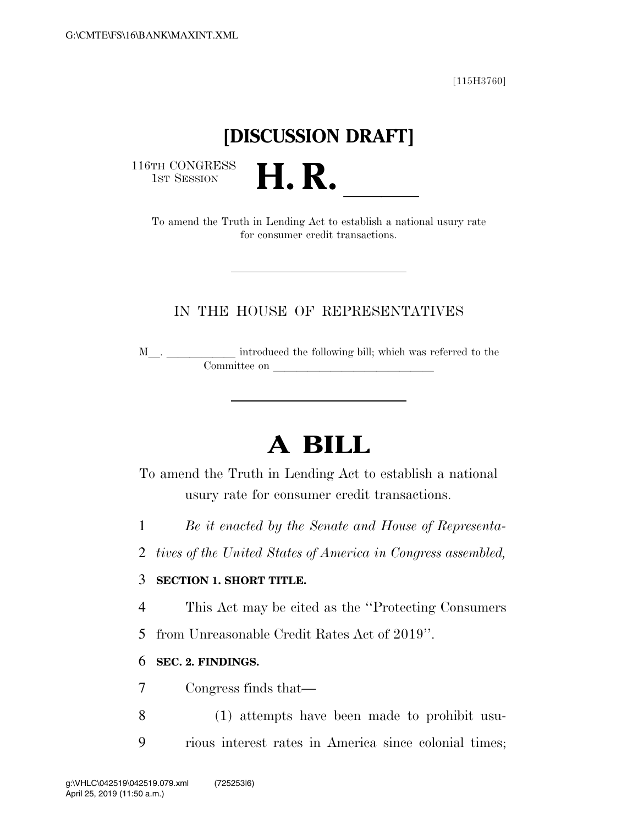[115H3760]

## **[DISCUSSION DRAFT]**

116TH CONGRESS<br>1st Session

TH CONGRESS<br>1st SESSION **H. R.** <u>Indian Constablish a national usury rate</u> for consumer credit transactions.

#### IN THE HOUSE OF REPRESENTATIVES

<sup>M</sup>l. llllll introduced the following bill; which was referred to the Committee on later and later the committee on later and later than  $\sim$ 

# **A BILL**

To amend the Truth in Lending Act to establish a national usury rate for consumer credit transactions.

1 *Be it enacted by the Senate and House of Representa-*

2 *tives of the United States of America in Congress assembled,* 

#### 3 **SECTION 1. SHORT TITLE.**

4 This Act may be cited as the ''Protecting Consumers

5 from Unreasonable Credit Rates Act of 2019''.

#### 6 **SEC. 2. FINDINGS.**

7 Congress finds that—

8 (1) attempts have been made to prohibit usu-9 rious interest rates in America since colonial times;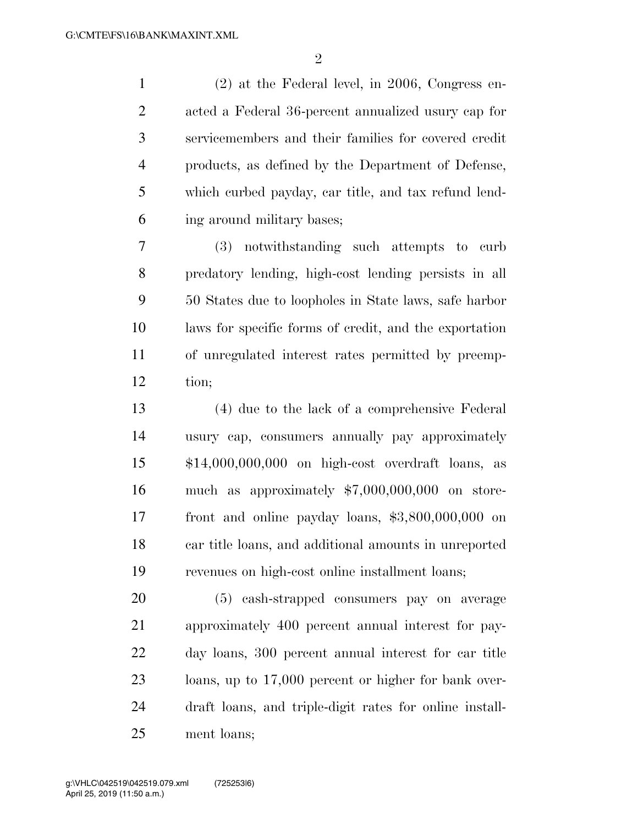(2) at the Federal level, in 2006, Congress en- acted a Federal 36-percent annualized usury cap for servicemembers and their families for covered credit products, as defined by the Department of Defense, which curbed payday, car title, and tax refund lend-ing around military bases;

 (3) notwithstanding such attempts to curb predatory lending, high-cost lending persists in all 50 States due to loopholes in State laws, safe harbor laws for specific forms of credit, and the exportation of unregulated interest rates permitted by preemp-tion;

 (4) due to the lack of a comprehensive Federal usury cap, consumers annually pay approximately \$14,000,000,000 on high-cost overdraft loans, as much as approximately \$7,000,000,000 on store- front and online payday loans, \$3,800,000,000 on car title loans, and additional amounts in unreported revenues on high-cost online installment loans;

 (5) cash-strapped consumers pay on average approximately 400 percent annual interest for pay- day loans, 300 percent annual interest for car title loans, up to 17,000 percent or higher for bank over- draft loans, and triple-digit rates for online install-ment loans;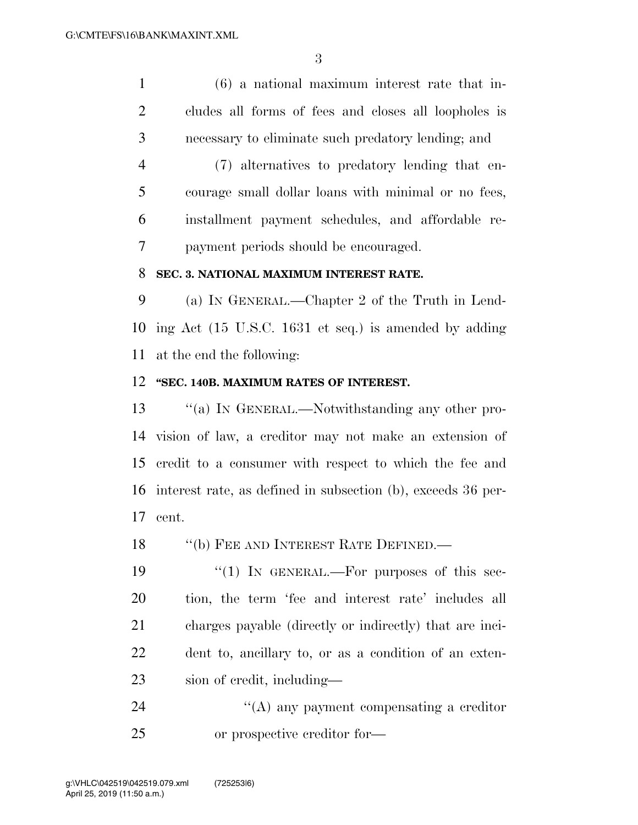(6) a national maximum interest rate that in- cludes all forms of fees and closes all loopholes is necessary to eliminate such predatory lending; and

 (7) alternatives to predatory lending that en- courage small dollar loans with minimal or no fees, installment payment schedules, and affordable re-payment periods should be encouraged.

#### **SEC. 3. NATIONAL MAXIMUM INTEREST RATE.**

 (a) IN GENERAL.—Chapter 2 of the Truth in Lend- ing Act (15 U.S.C. 1631 et seq.) is amended by adding at the end the following:

#### **''SEC. 140B. MAXIMUM RATES OF INTEREST.**

 ''(a) IN GENERAL.—Notwithstanding any other pro- vision of law, a creditor may not make an extension of credit to a consumer with respect to which the fee and interest rate, as defined in subsection (b), exceeds 36 per-cent.

18 "(b) FEE AND INTEREST RATE DEFINED.—

 $\frac{1}{2}$  (1) In GENERAL.—For purposes of this sec- tion, the term 'fee and interest rate' includes all charges payable (directly or indirectly) that are inci- dent to, ancillary to, or as a condition of an exten-sion of credit, including—

24 ''(A) any payment compensating a creditor or prospective creditor for—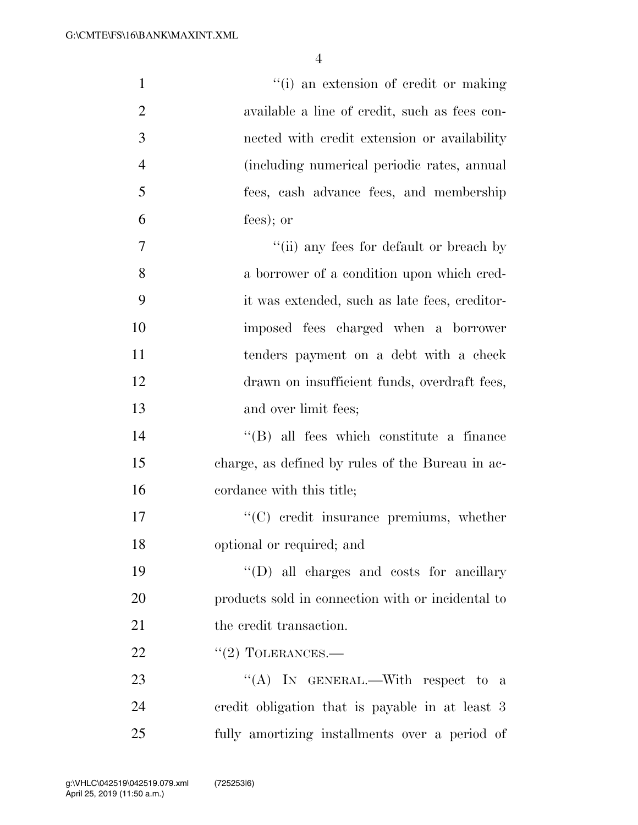| $\mathbf{1}$   | "(i) an extension of credit or making             |
|----------------|---------------------------------------------------|
| $\overline{2}$ | available a line of credit, such as fees con-     |
| 3              | nected with credit extension or availability      |
| $\overline{4}$ | (including numerical periodic rates, annual       |
| 5              | fees, cash advance fees, and membership           |
| 6              | $fees)$ ; or                                      |
| $\overline{7}$ | "(ii) any fees for default or breach by           |
| 8              | a borrower of a condition upon which cred-        |
| 9              | it was extended, such as late fees, creditor-     |
| 10             | imposed fees charged when a borrower              |
| 11             | tenders payment on a debt with a check            |
| 12             | drawn on insufficient funds, overdraft fees,      |
| 13             | and over limit fees;                              |
| 14             | $\lq\lq$ (B) all fees which constitute a finance  |
| 15             | charge, as defined by rules of the Bureau in ac-  |
| 16             | cordance with this title;                         |
| 17             | $\lq\lq$ credit insurance premiums, whether       |
| 18             | optional or required; and                         |
| 19             | "(D) all charges and costs for ancillary          |
| 20             | products sold in connection with or incidental to |
| 21             | the credit transaction.                           |
| 22             | $"(2)$ TOLERANCES.—                               |
| 23             | "(A) IN GENERAL.—With respect to a                |
| 24             | credit obligation that is payable in at least 3   |
| 25             | fully amortizing installments over a period of    |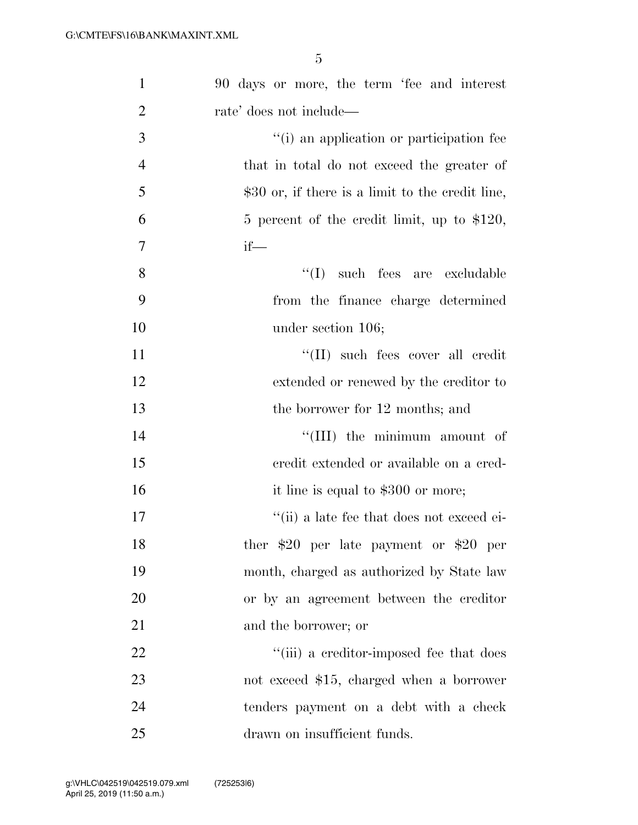| $\mathbf{1}$   | 90 days or more, the term 'fee and interest       |
|----------------|---------------------------------------------------|
| $\overline{2}$ | rate' does not include—                           |
| 3              | "(i) an application or participation fee          |
| $\overline{4}$ | that in total do not exceed the greater of        |
| 5              | $$30$ or, if there is a limit to the credit line, |
| 6              | 5 percent of the credit limit, up to $$120$ ,     |
| $\overline{7}$ | $if$ —                                            |
| 8              | such fees are excludable<br>``(I)                 |
| 9              | from the finance charge determined                |
| 10             | under section 106;                                |
| 11             | "(II) such fees cover all credit                  |
| 12             | extended or renewed by the creditor to            |
| 13             | the borrower for 12 months; and                   |
| 14             | "(III) the minimum amount of                      |
| 15             | eredit extended or available on a cred-           |
| 16             | it line is equal to \$300 or more;                |
| 17             | "(ii) a late fee that does not exceed ei-         |
| 18             | ther $$20$ per late payment or $$20$ per          |
| 19             | month, charged as authorized by State law         |
| 20             | or by an agreement between the creditor           |
| 21             | and the borrower; or                              |
| 22             | "(iii) a creditor-imposed fee that does           |
| 23             | not exceed \$15, charged when a borrower          |
| 24             | tenders payment on a debt with a check            |
| 25             | drawn on insufficient funds.                      |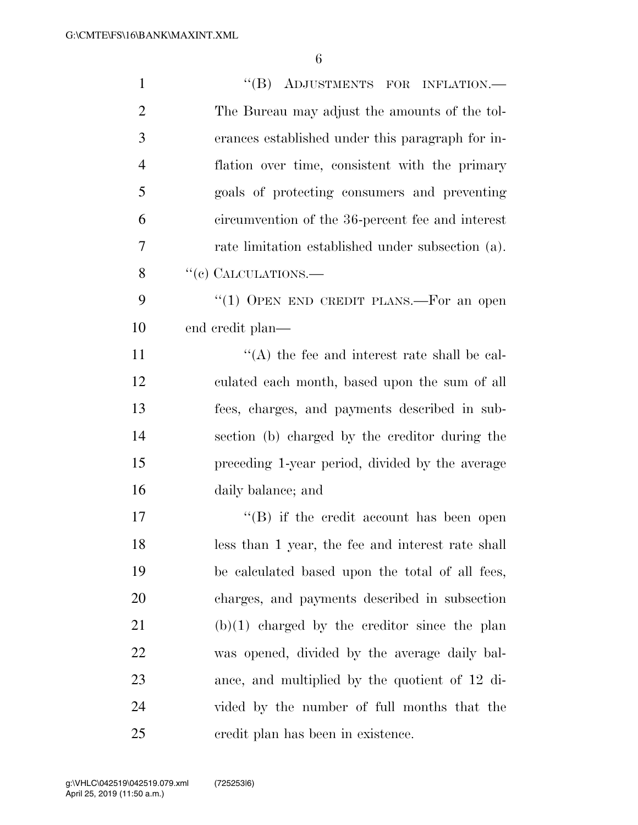| $\mathbf{1}$   | "(B) ADJUSTMENTS FOR INFLATION.-                  |
|----------------|---------------------------------------------------|
| $\overline{2}$ | The Bureau may adjust the amounts of the tol-     |
| 3              | erances established under this paragraph for in-  |
| $\overline{4}$ | flation over time, consistent with the primary    |
| 5              | goals of protecting consumers and preventing      |
| 6              | circumvention of the 36-percent fee and interest  |
| 7              | rate limitation established under subsection (a). |
| 8              | "(e) CALCULATIONS.—                               |
| 9              | "(1) OPEN END CREDIT PLANS.—For an open           |
| 10             | end credit plan—                                  |
| 11             | $\lq\lq$ the fee and interest rate shall be cal-  |
| 12             | culated each month, based upon the sum of all     |
| 13             | fees, charges, and payments described in sub-     |
| 14             | section (b) charged by the creditor during the    |
| 15             | preceding 1-year period, divided by the average   |
| 16             | daily balance; and                                |
| 17             | $\lq\lq (B)$ if the credit account has been open  |
| 18             | less than 1 year, the fee and interest rate shall |
| 19             | be calculated based upon the total of all fees,   |
| 20             | charges, and payments described in subsection     |
| 21             | $(b)(1)$ charged by the creditor since the plan   |
| 22             | was opened, divided by the average daily bal-     |
| 23             | ance, and multiplied by the quotient of 12 di-    |
| 24             | vided by the number of full months that the       |
| 25             | credit plan has been in existence.                |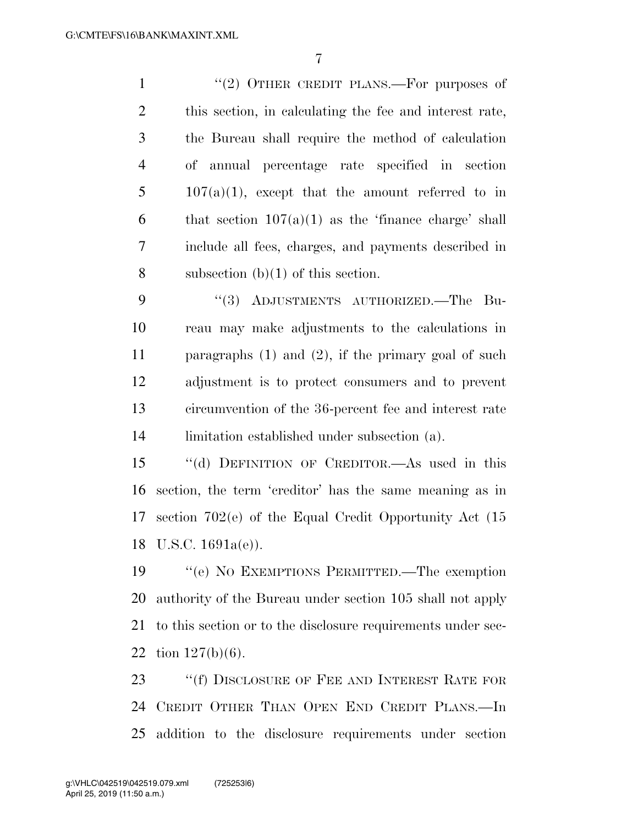1 "(2) OTHER CREDIT PLANS.—For purposes of this section, in calculating the fee and interest rate, the Bureau shall require the method of calculation of annual percentage rate specified in section  $5 \t 107(a)(1)$ , except that the amount referred to in 6 that section  $107(a)(1)$  as the 'finance charge' shall include all fees, charges, and payments described in 8 subsection  $(b)(1)$  of this section.

9 "(3) ADJUSTMENTS AUTHORIZED. The Bu- reau may make adjustments to the calculations in paragraphs (1) and (2), if the primary goal of such adjustment is to protect consumers and to prevent circumvention of the 36-percent fee and interest rate limitation established under subsection (a).

 ''(d) DEFINITION OF CREDITOR.—As used in this section, the term 'creditor' has the same meaning as in section 702(e) of the Equal Credit Opportunity Act (15 U.S.C. 1691a(e)).

 ''(e) NO EXEMPTIONS PERMITTED.—The exemption authority of the Bureau under section 105 shall not apply to this section or to the disclosure requirements under sec-tion 127(b)(6).

23 "If DISCLOSURE OF FEE AND INTEREST RATE FOR CREDIT OTHER THAN OPEN END CREDIT PLANS.—In addition to the disclosure requirements under section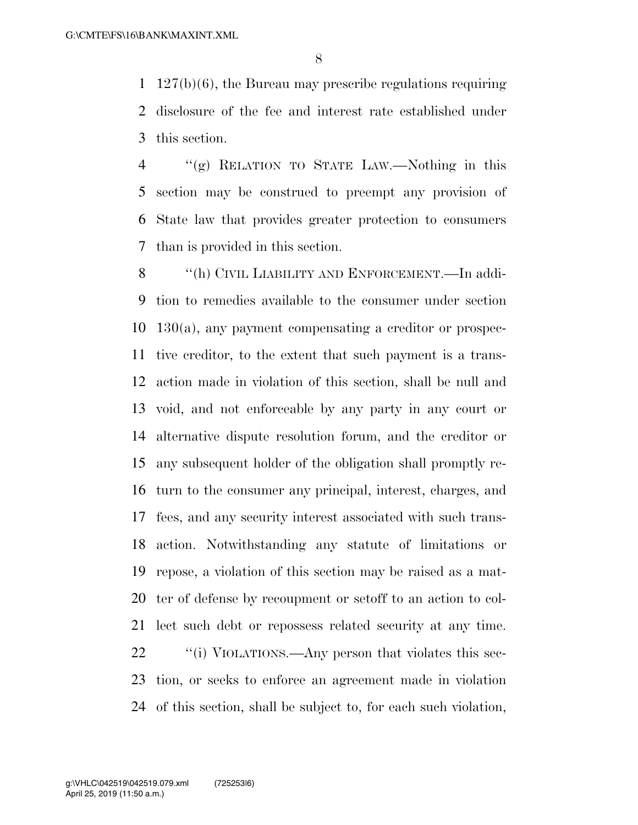127(b)(6), the Bureau may prescribe regulations requiring disclosure of the fee and interest rate established under this section.

 ''(g) RELATION TO STATE LAW.—Nothing in this section may be construed to preempt any provision of State law that provides greater protection to consumers than is provided in this section.

8 "(h) CIVIL LIABILITY AND ENFORCEMENT.—In addi- tion to remedies available to the consumer under section 130(a), any payment compensating a creditor or prospec- tive creditor, to the extent that such payment is a trans- action made in violation of this section, shall be null and void, and not enforceable by any party in any court or alternative dispute resolution forum, and the creditor or any subsequent holder of the obligation shall promptly re- turn to the consumer any principal, interest, charges, and fees, and any security interest associated with such trans- action. Notwithstanding any statute of limitations or repose, a violation of this section may be raised as a mat- ter of defense by recoupment or setoff to an action to col- lect such debt or repossess related security at any time.  $\frac{1}{2}$  ''(i) VIOLATIONS.—Any person that violates this sec- tion, or seeks to enforce an agreement made in violation of this section, shall be subject to, for each such violation,